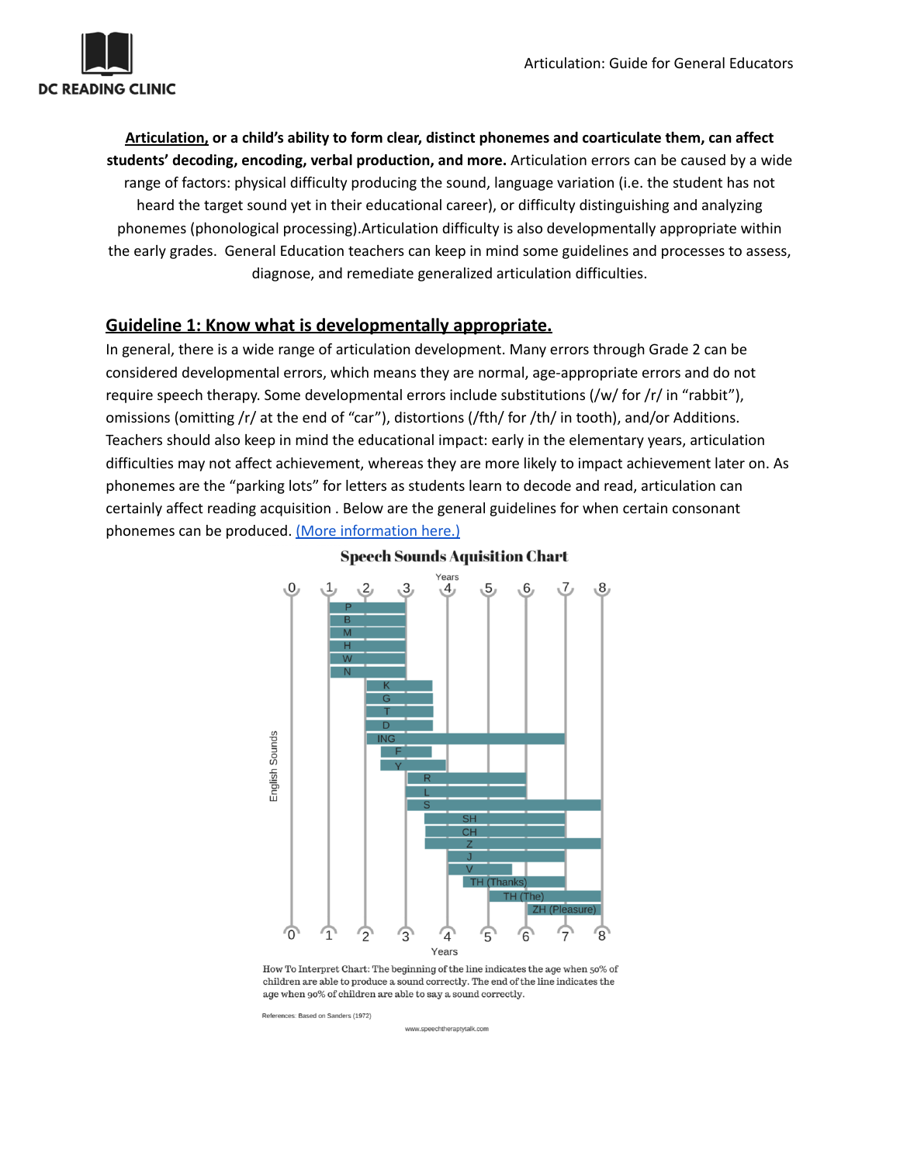

**Articulation, or a child's ability to form clear, distinct phonemes and coarticulate them, can affect students' decoding, encoding, verbal production, and more.** Articulation errors can be caused by a wide range of factors: physical difficulty producing the sound, language variation (i.e. the student has not heard the target sound yet in their educational career), or difficulty distinguishing and analyzing phonemes (phonological processing).Articulation difficulty is also developmentally appropriate within the early grades. General Education teachers can keep in mind some guidelines and processes to assess, diagnose, and remediate generalized articulation difficulties.

### **Guideline 1: Know what is developmentally appropriate.**

In general, there is a wide range of articulation development. Many errors through Grade 2 can be considered developmental errors, which means they are normal, age-appropriate errors and do not require speech therapy. Some developmental errors include substitutions (/w/ for /r/ in "rabbit"), omissions (omitting /r/ at the end of "car"), distortions (/fth/ for /th/ in tooth), and/or Additions. Teachers should also keep in mind the educational impact: early in the elementary years, articulation difficulties may not affect achievement, whereas they are more likely to impact achievement later on. As phonemes are the "parking lots" for letters as students learn to decode and read, articulation can certainly affect reading acquisition . Below are the general guidelines for when certain consonant phonemes can be produced. (More [information](https://dck12-my.sharepoint.com/personal/jessica_sitcovsky_k12_dc_gov/_layouts/15/onedrive.aspx?id=%2Fpersonal%2Fjessica%5Fsitcovsky%5Fk12%5Fdc%5Fgov%2FDocuments%2FMTSS%20Summer%20Project%2FMTSS%20%2D%20PDF%20files%2FElementary%2FArticulation%2FTier%201%2FArticulation%5FWhat%20is%20Typical%2Epdf&parent=%2Fpersonal%2Fjessica%5Fsitcovsky%5Fk12%5Fdc%5Fgov%2FDocuments%2FMTSS%20Summer%20Project%2FMTSS%20%2D%20PDF%20files%2FElementary%2FArticulation%2FTier%201) here.)



### **Speech Sounds Aquisition Chart**

How To Interpret Chart: The beginning of the line indicates the age when  $50\%$  of children are able to produce a sound correctly. The end of the line indicates the age when 90% of children are able to say a sound correctly.

References: Based on Sanders (1972)

www.speechtheraptytalk.com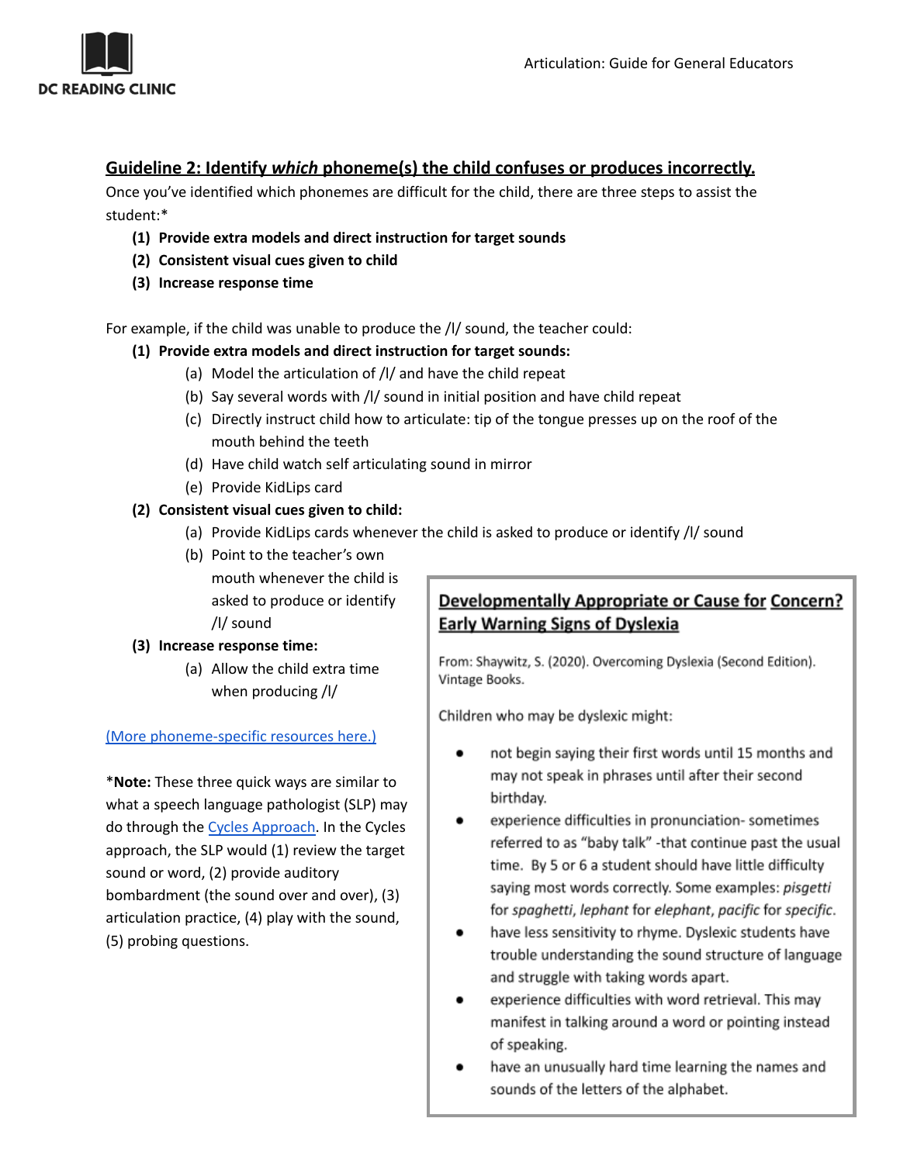

### **Guideline 2: Identify** *which* **phoneme(s) the child confuses or produces incorrectly.**

Once you've identified which phonemes are difficult for the child, there are three steps to assist the student:\*

- **(1) Provide extra models and direct instruction for target sounds**
- **(2) Consistent visual cues given to child**
- **(3) Increase response time**

For example, if the child was unable to produce the /l/ sound, the teacher could:

- **(1) Provide extra models and direct instruction for target sounds:**
	- (a) Model the articulation of /l/ and have the child repeat
	- (b) Say several words with /l/ sound in initial position and have child repeat
	- (c) Directly instruct child how to articulate: tip of the tongue presses up on the roof of the mouth behind the teeth
	- (d) Have child watch self articulating sound in mirror
	- (e) Provide KidLips card

### **(2) Consistent visual cues given to child:**

- (a) Provide KidLips cards whenever the child is asked to produce or identify /l/ sound
- (b) Point to the teacher's own

mouth whenever the child is asked to produce or identify /l/ sound

#### **(3) Increase response time:**

(a) Allow the child extra time when producing /l/

#### (More [phoneme-specific](https://dck12.sharepoint.com/sites/Multi-TieredSystemsofSupportforSpeechandLanguage/SitePages/ECE-Elementary.aspx?Mode=Edit) resources here.)

\***Note:** These three quick ways are similar to what a speech language pathologist (SLP) may do through the Cycles [Approach.](https://dck12-my.sharepoint.com/personal/jessica_sitcovsky_k12_dc_gov/_layouts/15/onedrive.aspx?id=%2Fpersonal%2Fjessica%5Fsitcovsky%5Fk12%5Fdc%5Fgov%2FDocuments%2FMTSS%20Summer%20Project%2FMTSS%20%2D%20PDF%20files%2FElementary%2FArticulation%2FTier%202%2FArticulation%20and%20Phonology%5FThe%20Cycles%20Approach%2Epdf&parent=%2Fpersonal%2Fjessica%5Fsitcovsky%5Fk12%5Fdc%5Fgov%2FDocuments%2FMTSS%20Summer%20Project%2FMTSS%20%2D%20PDF%20files%2FElementary%2FArticulation%2FTier%202) In the Cycles approach, the SLP would (1) review the target sound or word, (2) provide auditory bombardment (the sound over and over), (3) articulation practice, (4) play with the sound, (5) probing questions.

# Developmentally Appropriate or Cause for Concern? **Early Warning Signs of Dyslexia**

From: Shaywitz, S. (2020). Overcoming Dyslexia (Second Edition). Vintage Books.

Children who may be dyslexic might:

- not begin saying their first words until 15 months and  $\bullet$ may not speak in phrases until after their second birthday.
- experience difficulties in pronunciation-sometimes referred to as "baby talk" -that continue past the usual time. By 5 or 6 a student should have little difficulty saying most words correctly. Some examples: pisgetti for spaghetti, lephant for elephant, pacific for specific.
- have less sensitivity to rhyme. Dyslexic students have trouble understanding the sound structure of language and struggle with taking words apart.
- experience difficulties with word retrieval. This may manifest in talking around a word or pointing instead of speaking.
- have an unusually hard time learning the names and sounds of the letters of the alphabet.